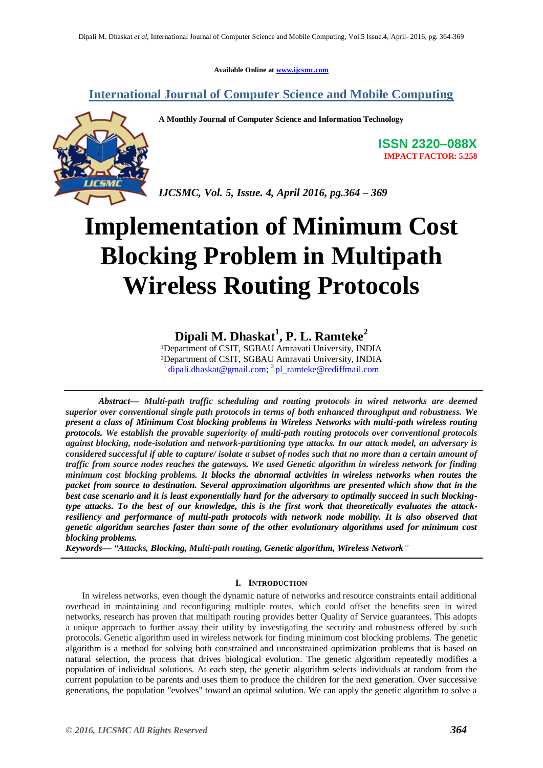**Available Online at [www.ijcsmc.com](http://www.ijcsmc.com/)**

**International Journal of Computer Science and Mobile Computing**



**A Monthly Journal of Computer Science and Information Technology**

**ISSN 2320–088X IMPACT FACTOR: 5.258**

*IJCSMC, Vol. 5, Issue. 4, April 2016, pg.364 – 369*

# **Implementation of Minimum Cost Blocking Problem in Multipath Wireless Routing Protocols**

# **Dipali M. Dhaskat<sup>1</sup> , P. L. Ramteke<sup>2</sup>**

<sup>1</sup>Department of CSIT, SGBAU Amravati University, INDIA ²Department of CSIT, SGBAU Amravati University, INDIA <sup>1</sup> [dipali.dhaskat@gmail.com;](mailto:dipali.dhaskat@gmail.com) <sup>2</sup> [pl\\_ramteke@rediffmail.com](mailto:pl_ramteke@rediffmail.com)

*Abstract— Multi-path traffic scheduling and routing protocols in wired networks are deemed superior over conventional single path protocols in terms of both enhanced throughput and robustness. We present a class of Minimum Cost blocking problems in Wireless Networks with multi-path wireless routing protocols. We establish the provable superiority of multi-path routing protocols over conventional protocols against blocking, node-isolation and network-partitioning type attacks. In our attack model, an adversary is considered successful if able to capture/ isolate a subset of nodes such that no more than a certain amount of traffic from source nodes reaches the gateways. We used Genetic algorithm in wireless network for finding minimum cost blocking problems. It blocks the abnormal activities in wireless networks when routes the packet from source to destination. Several approximation algorithms are presented which show that in the best case scenario and it is least exponentially hard for the adversary to optimally succeed in such blockingtype attacks. To the best of our knowledge, this is the first work that theoretically evaluates the attackresiliency and performance of multi-path protocols with network node mobility. It is also observed that genetic algorithm searches faster than some of the other evolutionary algorithms used for minimum cost blocking problems.*

*Keywords— ―Attacks, Blocking, Multi-path routing, Genetic algorithm, Wireless Network"*

### **I. INTRODUCTION**

In wireless networks, even though the dynamic nature of networks and resource constraints entail additional overhead in maintaining and reconfiguring multiple routes, which could offset the benefits seen in wired networks, research has proven that multipath routing provides better Quality of Service guarantees. This adopts a unique approach to further assay their utility by investigating the security and robustness offered by such protocols. Genetic algorithm used in wireless network for finding minimum cost blocking problems. The genetic algorithm is a method for solving both constrained and unconstrained optimization problems that is based on natural selection, the process that drives biological evolution. The genetic algorithm repeatedly modifies a population of individual solutions. At each step, the genetic algorithm selects individuals at random from the current population to be parents and uses them to produce the children for the next generation. Over successive generations, the population "evolves" toward an optimal solution. We can apply the genetic algorithm to solve a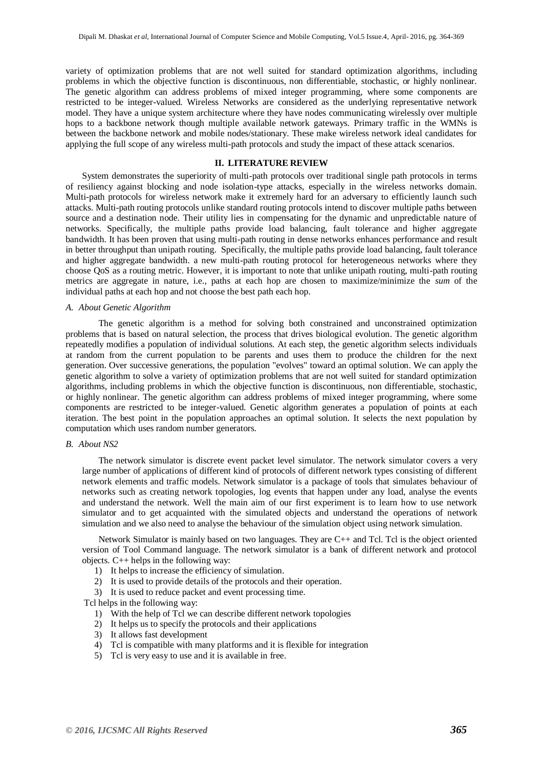variety of optimization problems that are not well suited for standard optimization algorithms, including problems in which the objective function is discontinuous, non differentiable, stochastic, or highly nonlinear. The genetic algorithm can address problems of mixed integer programming, where some components are restricted to be integer-valued. Wireless Networks are considered as the underlying representative network model. They have a unique system architecture where they have nodes communicating wirelessly over multiple hops to a backbone network though multiple available network gateways. Primary traffic in the WMNs is between the backbone network and mobile nodes/stationary. These make wireless network ideal candidates for applying the full scope of any wireless multi-path protocols and study the impact of these attack scenarios.

### **II. LITERATURE REVIEW**

System demonstrates the superiority of multi-path protocols over traditional single path protocols in terms of resiliency against blocking and node isolation-type attacks, especially in the wireless networks domain. Multi-path protocols for wireless network make it extremely hard for an adversary to efficiently launch such attacks. Multi-path routing protocols unlike standard routing protocols intend to discover multiple paths between source and a destination node. Their utility lies in compensating for the dynamic and unpredictable nature of networks. Specifically, the multiple paths provide load balancing, fault tolerance and higher aggregate bandwidth. It has been proven that using multi-path routing in dense networks enhances performance and result in better throughput than unipath routing. Specifically, the multiple paths provide load balancing, fault tolerance and higher aggregate bandwidth. a new multi-path routing protocol for heterogeneous networks where they choose QoS as a routing metric. However, it is important to note that unlike unipath routing, multi-path routing metrics are aggregate in nature, i.e., paths at each hop are chosen to maximize/minimize the *sum* of the individual paths at each hop and not choose the best path each hop.

#### *A. About Genetic Algorithm*

The genetic algorithm is a method for solving both constrained and unconstrained optimization problems that is based on natural selection, the process that drives biological evolution. The genetic algorithm repeatedly modifies a population of individual solutions. At each step, the genetic algorithm selects individuals at random from the current population to be parents and uses them to produce the children for the next generation. Over successive generations, the population "evolves" toward an optimal solution. We can apply the genetic algorithm to solve a variety of optimization problems that are not well suited for standard optimization algorithms, including problems in which the objective function is discontinuous, non differentiable, stochastic, or highly nonlinear. The genetic algorithm can address problems of mixed integer programming, where some components are restricted to be integer-valued. Genetic algorithm generates a population of points at each iteration. The best point in the population approaches an optimal solution. It selects the next population by computation which uses random number generators.

#### *B. About NS2*

The network simulator is discrete event packet level simulator. The network simulator covers a very large number of applications of different kind of protocols of different network types consisting of different network elements and traffic models. Network simulator is a package of tools that simulates behaviour of networks such as creating network topologies, log events that happen under any load, analyse the events and understand the network. Well the main aim of our first experiment is to learn how to use network simulator and to get acquainted with the simulated objects and understand the operations of network simulation and we also need to analyse the behaviour of the simulation object using network simulation.

Network Simulator is mainly based on two languages. They are C++ and Tcl. Tcl is the object oriented version of Tool Command language. The network simulator is a bank of different network and protocol objects. C++ helps in the following way:

- 1) It helps to increase the efficiency of simulation.
- 2) It is used to provide details of the protocols and their operation.
- 3) It is used to reduce packet and event processing time.

Tcl helps in the following way:

- 1) With the help of Tcl we can describe different network topologies
- 2) It helps us to specify the protocols and their applications
- 3) It allows fast development
- 4) Tcl is compatible with many platforms and it is flexible for integration
- 5) Tcl is very easy to use and it is available in free.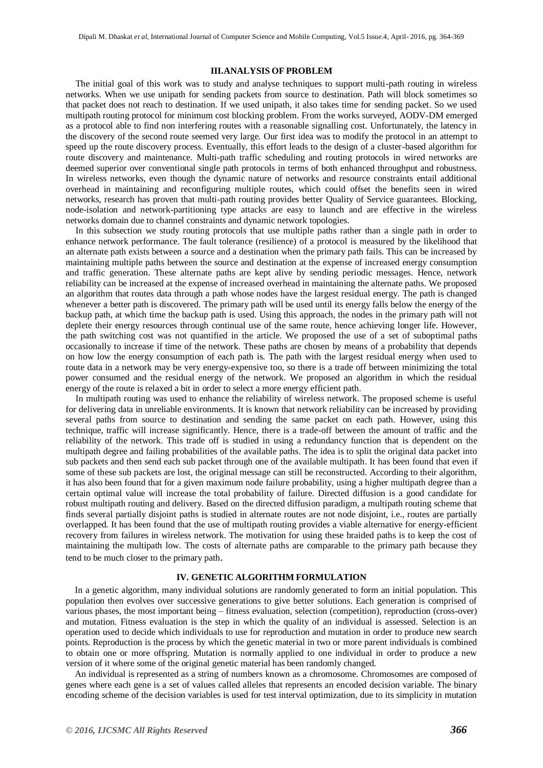### **III.ANALYSIS OF PROBLEM**

The initial goal of this work was to study and analyse techniques to support multi-path routing in wireless networks. When we use unipath for sending packets from source to destination. Path will block sometimes so that packet does not reach to destination. If we used unipath, it also takes time for sending packet. So we used multipath routing protocol for minimum cost blocking problem. From the works surveyed, AODV-DM emerged as a protocol able to find non interfering routes with a reasonable signalling cost. Unfortunately, the latency in the discovery of the second route seemed very large. Our first idea was to modify the protocol in an attempt to speed up the route discovery process. Eventually, this effort leads to the design of a cluster-based algorithm for route discovery and maintenance. Multi-path traffic scheduling and routing protocols in wired networks are deemed superior over conventional single path protocols in terms of both enhanced throughput and robustness. In wireless networks, even though the dynamic nature of networks and resource constraints entail additional overhead in maintaining and reconfiguring multiple routes, which could offset the benefits seen in wired networks, research has proven that multi-path routing provides better Quality of Service guarantees. Blocking, node-isolation and network-partitioning type attacks are easy to launch and are effective in the wireless networks domain due to channel constraints and dynamic network topologies.

In this subsection we study routing protocols that use multiple paths rather than a single path in order to enhance network performance. The fault tolerance (resilience) of a protocol is measured by the likelihood that an alternate path exists between a source and a destination when the primary path fails. This can be increased by maintaining multiple paths between the source and destination at the expense of increased energy consumption and traffic generation. These alternate paths are kept alive by sending periodic messages. Hence, network reliability can be increased at the expense of increased overhead in maintaining the alternate paths. We proposed an algorithm that routes data through a path whose nodes have the largest residual energy. The path is changed whenever a better path is discovered. The primary path will be used until its energy falls below the energy of the backup path, at which time the backup path is used. Using this approach, the nodes in the primary path will not deplete their energy resources through continual use of the same route, hence achieving longer life. However, the path switching cost was not quantified in the article. We proposed the use of a set of suboptimal paths occasionally to increase if time of the network. These paths are chosen by means of a probability that depends on how low the energy consumption of each path is. The path with the largest residual energy when used to route data in a network may be very energy-expensive too, so there is a trade off between minimizing the total power consumed and the residual energy of the network. We proposed an algorithm in which the residual energy of the route is relaxed a bit in order to select a more energy efficient path.

In multipath routing was used to enhance the reliability of wireless network. The proposed scheme is useful for delivering data in unreliable environments. It is known that network reliability can be increased by providing several paths from source to destination and sending the same packet on each path. However, using this technique, traffic will increase significantly. Hence, there is a trade-off between the amount of traffic and the reliability of the network. This trade off is studied in using a redundancy function that is dependent on the multipath degree and failing probabilities of the available paths. The idea is to split the original data packet into sub packets and then send each sub packet through one of the available multipath. It has been found that even if some of these sub packets are lost, the original message can still be reconstructed. According to their algorithm, it has also been found that for a given maximum node failure probability, using a higher multipath degree than a certain optimal value will increase the total probability of failure. Directed diffusion is a good candidate for robust multipath routing and delivery. Based on the directed diffusion paradigm, a multipath routing scheme that finds several partially disjoint paths is studied in alternate routes are not node disjoint, i.e., routes are partially overlapped. It has been found that the use of multipath routing provides a viable alternative for energy-efficient recovery from failures in wireless network. The motivation for using these braided paths is to keep the cost of maintaining the multipath low. The costs of alternate paths are comparable to the primary path because they tend to be much closer to the primary path.

#### **IV. GENETIC ALGORITHM FORMULATION**

In a genetic algorithm, many individual solutions are randomly generated to form an initial population. This population then evolves over successive generations to give better solutions. Each generation is comprised of various phases, the most important being – fitness evaluation, selection (competition), reproduction (cross-over) and mutation. Fitness evaluation is the step in which the quality of an individual is assessed. Selection is an operation used to decide which individuals to use for reproduction and mutation in order to produce new search points. Reproduction is the process by which the genetic material in two or more parent individuals is combined to obtain one or more offspring. Mutation is normally applied to one individual in order to produce a new version of it where some of the original genetic material has been randomly changed.

An individual is represented as a string of numbers known as a chromosome. Chromosomes are composed of genes where each gene is a set of values called alleles that represents an encoded decision variable. The binary encoding scheme of the decision variables is used for test interval optimization, due to its simplicity in mutation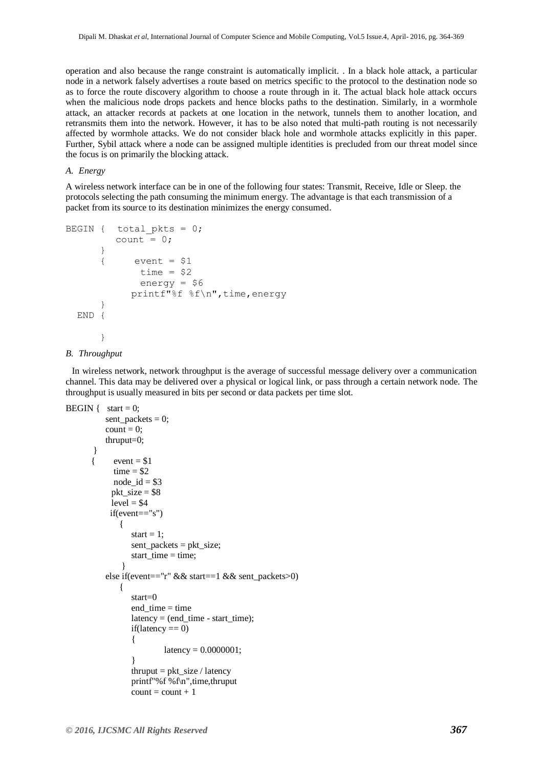operation and also because the range constraint is automatically implicit. . In a black hole attack, a particular node in a network falsely advertises a route based on metrics specific to the protocol to the destination node so as to force the route discovery algorithm to choose a route through in it. The actual black hole attack occurs when the malicious node drops packets and hence blocks paths to the destination. Similarly, in a wormhole attack, an attacker records at packets at one location in the network, tunnels them to another location, and retransmits them into the network. However, it has to be also noted that multi-path routing is not necessarily affected by wormhole attacks. We do not consider black hole and wormhole attacks explicitly in this paper. Further, Sybil attack where a node can be assigned multiple identities is precluded from our threat model since the focus is on primarily the blocking attack.

*A. Energy*

A wireless network interface can be in one of the following four states: Transmit, Receive, Idle or Sleep. the protocols selecting the path consuming the minimum energy. The advantage is that each transmission of a packet from its source to its destination minimizes the energy consumed.

```
BEGIN { total pkts = 0;count = 0;
      }
     \{ event = $1
            time = $2energy = $6printf"%f %f\n",time,energy
      }
  END {
      }
```
#### *B. Throughput*

In wireless network, network throughput is the average of successful message delivery over a communication channel. This data may be delivered over a physical or logical link, or pass through a certain network node. The throughput is usually measured in bits per second or data packets per time slot.

```
BEGIN { \text{start} = 0;
         sent_packets = 0;
         count = 0:
          thruput=0;
}
     { event = $1time = $2node id = $3 pkt_size = $8
           level = $4 if(event=="s")
              {
                start = 1;
                sent_packets = pkt_size;
                start time = time;
         }
          else if(event=="r" && start==1 && sent_packets>0)
              {
                start=0
                end time = timelatency = (end time - start time);
                if(latency == 0)
                {
                         latency = 0.0000001;
                }
                thruput = pkt_size / latency
                printf"%f %f\n",time,thruput
                count = count + 1
```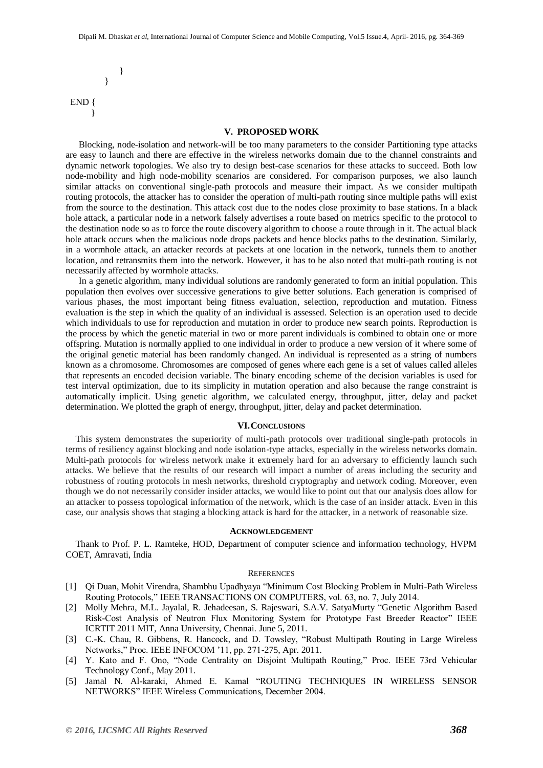} END { }

}

#### **V. PROPOSED WORK**

Blocking, node-isolation and network-will be too many parameters to the consider Partitioning type attacks are easy to launch and there are effective in the wireless networks domain due to the channel constraints and dynamic network topologies. We also try to design best-case scenarios for these attacks to succeed. Both low node-mobility and high node-mobility scenarios are considered. For comparison purposes, we also launch similar attacks on conventional single-path protocols and measure their impact. As we consider multipath routing protocols, the attacker has to consider the operation of multi-path routing since multiple paths will exist from the source to the destination. This attack cost due to the nodes close proximity to base stations. In a black hole attack, a particular node in a network falsely advertises a route based on metrics specific to the protocol to the destination node so as to force the route discovery algorithm to choose a route through in it. The actual black hole attack occurs when the malicious node drops packets and hence blocks paths to the destination. Similarly, in a wormhole attack, an attacker records at packets at one location in the network, tunnels them to another location, and retransmits them into the network. However, it has to be also noted that multi-path routing is not necessarily affected by wormhole attacks.

In a genetic algorithm, many individual solutions are randomly generated to form an initial population. This population then evolves over successive generations to give better solutions. Each generation is comprised of various phases, the most important being fitness evaluation, selection, reproduction and mutation. Fitness evaluation is the step in which the quality of an individual is assessed. Selection is an operation used to decide which individuals to use for reproduction and mutation in order to produce new search points. Reproduction is the process by which the genetic material in two or more parent individuals is combined to obtain one or more offspring. Mutation is normally applied to one individual in order to produce a new version of it where some of the original genetic material has been randomly changed. An individual is represented as a string of numbers known as a chromosome. Chromosomes are composed of genes where each gene is a set of values called alleles that represents an encoded decision variable. The binary encoding scheme of the decision variables is used for test interval optimization, due to its simplicity in mutation operation and also because the range constraint is automatically implicit. Using genetic algorithm, we calculated energy, throughput, jitter, delay and packet determination. We plotted the graph of energy, throughput, jitter, delay and packet determination.

## **VI.CONCLUSIONS**

This system demonstrates the superiority of multi-path protocols over traditional single-path protocols in terms of resiliency against blocking and node isolation-type attacks, especially in the wireless networks domain. Multi-path protocols for wireless network make it extremely hard for an adversary to efficiently launch such attacks. We believe that the results of our research will impact a number of areas including the security and robustness of routing protocols in mesh networks, threshold cryptography and network coding. Moreover, even though we do not necessarily consider insider attacks, we would like to point out that our analysis does allow for an attacker to possess topological information of the network, which is the case of an insider attack. Even in this case, our analysis shows that staging a blocking attack is hard for the attacker, in a network of reasonable size.

#### **ACKNOWLEDGEMENT**

Thank to Prof. P. L. Ramteke, HOD, Department of computer science and information technology, HVPM COET, Amravati, India

#### **REFERENCES**

- [1] Qi Duan, Mohit Virendra, Shambhu Upadhyaya "Minimum Cost Blocking Problem in Multi-Path Wireless Routing Protocols," IEEE TRANSACTIONS ON COMPUTERS, vol. 63, no. 7, July 2014.
- [2] Molly Mehra, M.L. Jayalal, R. Jehadeesan, S. Rajeswari, S.A.V. SatyaMurty "Genetic Algorithm Based Risk-Cost Analysis of Neutron Flux Monitoring System for Prototype Fast Breeder Reactor" IEEE ICRTIT 2011 MIT, Anna University, Chennai. June 5, 2011.
- [3] C.-K. Chau, R. Gibbens, R. Hancock, and D. Towsley, "Robust Multipath Routing in Large Wireless Networks," Proc. IEEE INFOCOM '11, pp. 271-275, Apr. 2011.
- [4] Y. Kato and F. Ono, "Node Centrality on Disjoint Multipath Routing," Proc. IEEE 73rd Vehicular Technology Conf., May 2011.
- [5] Jamal N. Al-karaki, Ahmed E. Kamal "ROUTING TECHNIQUES IN WIRELESS SENSOR NETWORKS" IEEE Wireless Communications, December 2004.